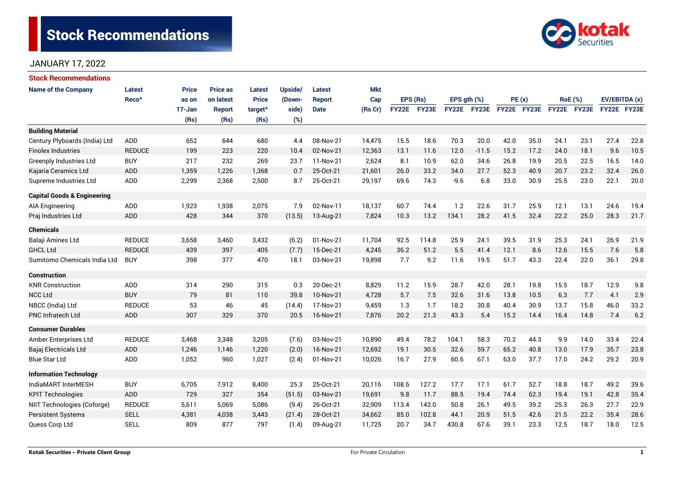# **Stock Recommendations**



### JANUARY 17, 2022

| <b>Stock Recommendations</b>           |                   |              |                 |                     |         |               |            |              |              |                  |             |             |      |                |      |               |      |
|----------------------------------------|-------------------|--------------|-----------------|---------------------|---------|---------------|------------|--------------|--------------|------------------|-------------|-------------|------|----------------|------|---------------|------|
| <b>Name of the Company</b>             | Latest            | <b>Price</b> | <b>Price as</b> | <b>Latest</b>       | Upside/ | Latest        | <b>Mkt</b> |              |              |                  |             |             |      |                |      |               |      |
|                                        | Reco <sup>^</sup> | as on        | on latest       | <b>Price</b>        | (Down-  | <b>Report</b> | Cap        | EPS (Rs)     |              | EPS $gth$ $(\%)$ |             | PE(x)       |      | <b>RoE</b> (%) |      | EV/EBITDA (x) |      |
|                                        |                   | 17-Jan       | <b>Report</b>   | target <sup>^</sup> | side)   | <b>Date</b>   | (Rs Cr)    | <b>FY22E</b> | <b>FY23E</b> |                  | FY22E FY23E | FY22E FY23E |      | FY22E FY23E    |      | FY22E FY23E   |      |
|                                        |                   | (Rs)         | (Rs)            | (Rs)                | (%)     |               |            |              |              |                  |             |             |      |                |      |               |      |
| <b>Building Material</b>               |                   |              |                 |                     |         |               |            |              |              |                  |             |             |      |                |      |               |      |
| Century Plyboards (India) Ltd          | <b>ADD</b>        | 652          | 644             | 680                 | 4.4     | 08-Nov-21     | 14,475     | 15.5         | 18.6         | 70.3             | 20.0        | 42.0        | 35.0 | 24.1           | 23.1 | 27.4          | 22.8 |
| <b>Finolex Industries</b>              | <b>REDUCE</b>     | 199          | 223             | 220                 | 10.4    | 02-Nov-21     | 12,363     | 13.1         | 11.6         | 12.0             | $-11.5$     | 15.2        | 17.2 | 24.0           | 18.1 | 9.6           | 10.5 |
| <b>Greenply Industries Ltd</b>         | <b>BUY</b>        | 217          | 232             | 269                 | 23.7    | 11-Nov-21     | 2,624      | 8.1          | 10.9         | 62.0             | 34.6        | 26.8        | 19.9 | 20.5           | 22.5 | 16.5          | 14.0 |
| Kajaria Ceramics Ltd                   | ADD               | 1,359        | 1,226           | 1,368               | 0.7     | 25-Oct-21     | 21,601     | 26.0         | 33.2         | 34.0             | 27.7        | 52.3        | 40.9 | 20.7           | 23.2 | 32.4          | 26.0 |
| Supreme Industries Ltd                 | <b>ADD</b>        | 2,299        | 2,368           | 2,500               | 8.7     | 25-Oct-21     | 29,197     | 69.6         | 74.3         | $-9.6$           | 6.8         | 33.0        | 30.9 | 25.5           | 23.0 | 22.1          | 20.0 |
| <b>Capital Goods &amp; Engineering</b> |                   |              |                 |                     |         |               |            |              |              |                  |             |             |      |                |      |               |      |
| AIA Engineering                        | <b>ADD</b>        | 1,923        | 1,938           | 2,075               | 7.9     | 02-Nov-11     | 18,137     | 60.7         | 74.4         | 1.2              | 22.6        | 31.7        | 25.9 | 12.1           | 13.1 | 24.6          | 19.4 |
| Praj Industries Ltd                    | ADD               | 428          | 344             | 370                 | (13.5)  | 13-Aug-21     | 7,824      | 10.3         | 13.2         | 134.1            | 28.2        | 41.5        | 32.4 | 22.2           | 25.0 | 28.3          | 21.7 |
| <b>Chemicals</b>                       |                   |              |                 |                     |         |               |            |              |              |                  |             |             |      |                |      |               |      |
| Balaji Amines Ltd                      | <b>REDUCE</b>     | 3,658        | 3,460           | 3,432               | (6.2)   | 01-Nov-21     | 11,704     | 92.5         | 114.8        | 25.9             | 24.1        | 39.5        | 31.9 | 25.3           | 24.1 | 26.9          | 21.9 |
| <b>GHCL Ltd</b>                        | <b>REDUCE</b>     | 439          | 397             | 405                 | (7.7)   | 15-Dec-21     | 4,245      | 36.2         | 51.2         | 5.5              | 41.4        | 12.1        | 8.6  | 12.6           | 15.5 | 7.6           | 5.8  |
| Sumitomo Chemicals India Ltd           | <b>BUY</b>        | 398          | 377             | 470                 | 18.1    | 03-Nov-21     | 19,898     | 7.7          | 9.2          | 11.6             | 19.5        | 51.7        | 43.3 | 22.4           | 22.0 | 36.1          | 29.8 |
| <b>Construction</b>                    |                   |              |                 |                     |         |               |            |              |              |                  |             |             |      |                |      |               |      |
| <b>KNR Construction</b>                | <b>ADD</b>        | 314          | 290             | 315                 | 0.3     | 20-Dec-21     | 8,829      | 11.2         | 15.9         | 28.7             | 42.0        | 28.1        | 19.8 | 15.5           | 18.7 | 12.9          | 9.8  |
| <b>NCC Ltd</b>                         | <b>BUY</b>        | 79           | 81              | 110                 | 39.8    | 10-Nov-21     | 4,728      | 5.7          | 7.5          | 32.6             | 31.6        | 13.8        | 10.5 | 6.3            | 7.7  | 4.1           | 2.9  |
| NBCC (India) Ltd                       | <b>REDUCE</b>     | 53           | 46              | 45                  | (14.4)  | 17-Nov-21     | 9,459      | 1.3          | 1.7          | 18.2             | 30.8        | 40.4        | 30.9 | 13.7           | 15.8 | 46.0          | 33.2 |
| <b>PNC Infratech Ltd</b>               | <b>ADD</b>        | 307          | 329             | 370                 | 20.5    | 16-Nov-21     | 7,876      | 20.2         | 21.3         | 43.3             | 5.4         | 15.2        | 14.4 | 16.4           | 14.8 | 7.4           | 6.2  |
| <b>Consumer Durables</b>               |                   |              |                 |                     |         |               |            |              |              |                  |             |             |      |                |      |               |      |
| Amber Enterprises Ltd                  | <b>REDUCE</b>     | 3,468        | 3,348           | 3,205               | (7.6)   | 03-Nov-21     | 10,890     | 49.4         | 78.2         | 104.1            | 58.3        | 70.2        | 44.3 | 9.9            | 14.0 | 33.4          | 22.4 |
| Bajaj Electricals Ltd                  | <b>ADD</b>        | 1,246        | 1,146           | 1,220               | (2.0)   | 16-Nov-21     | 12,692     | 19.1         | 30.5         | 32.6             | 59.7        | 65.2        | 40.8 | 13.0           | 17.9 | 35.7          | 23.8 |
| <b>Blue Star Ltd</b>                   | ADD               | 1,052        | 960             | 1,027               | (2.4)   | 01-Nov-21     | 10,026     | 16.7         | 27.9         | 60.6             | 67.1        | 63.0        | 37.7 | 17.0           | 24.2 | 29.2          | 20.9 |
| <b>Information Technology</b>          |                   |              |                 |                     |         |               |            |              |              |                  |             |             |      |                |      |               |      |
| IndiaMART InterMESH                    | <b>BUY</b>        | 6,705        | 7,912           | 8,400               | 25.3    | 25-Oct-21     | 20,116     | 108.6        | 127.2        | 17.7             | 17.1        | 61.7        | 52.7 | 18.8           | 18.7 | 49.2          | 39.6 |
| <b>KPIT Technologies</b>               | <b>ADD</b>        | 729          | 327             | 354                 | (51.5)  | 03-Nov-21     | 19,691     | 9.8          | 11.7         | 88.5             | 19.4        | 74.4        | 62.3 | 19.4           | 19.1 | 42.8          | 35.4 |
| NIIT Technologies (Coforge)            | <b>REDUCE</b>     | 5,611        | 5,069           | 5,086               | (9.4)   | 26-Oct-21     | 32,909     | 113.4        | 143.0        | 50.8             | 26.1        | 49.5        | 39.2 | 25.3           | 26.3 | 27.7          | 22.9 |
| <b>Persistent Systems</b>              | <b>SELL</b>       | 4,381        | 4,038           | 3,443               | (21.4)  | 28-Oct-21     | 34,662     | 85.0         | 102.8        | 44.1             | 20.9        | 51.5        | 42.6 | 21.5           | 22.2 | 35.4          | 28.6 |
| Quess Corp Ltd                         | <b>SELL</b>       | 809          | 877             | 797                 | (1.4)   | 09-Aug-21     | 11,725     | 20.7         | 34.7         | 430.8            | 67.6        | 39.1        | 23.3 | 12.5           | 18.7 | 18.0          | 12.5 |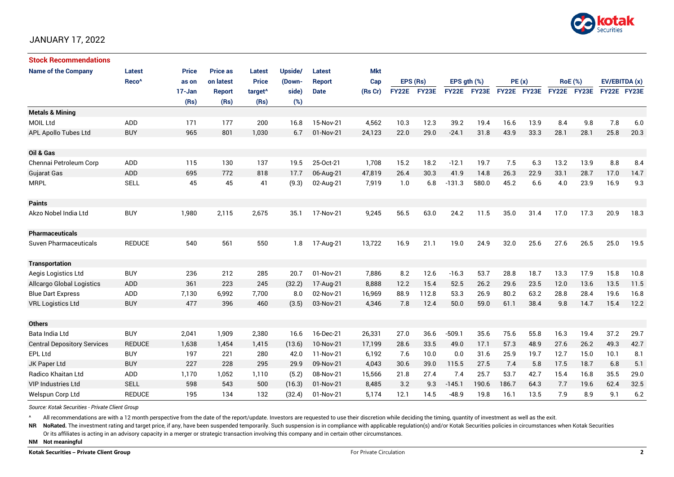

#### JANUARY 17, 2022

| <b>Stock Recommendations</b>       |                   |        |                 |                     |         |               |            |              |       |                  |       |             |      |      |                |                    |      |
|------------------------------------|-------------------|--------|-----------------|---------------------|---------|---------------|------------|--------------|-------|------------------|-------|-------------|------|------|----------------|--------------------|------|
| <b>Name of the Company</b>         | <b>Latest</b>     | Price  | <b>Price as</b> | <b>Latest</b>       | Upside/ | Latest        | <b>Mkt</b> |              |       |                  |       |             |      |      |                |                    |      |
|                                    | Reco <sup>^</sup> | as on  | on latest       | <b>Price</b>        | (Down-  | <b>Report</b> | Cap        | EPS (Rs)     |       | EPS $gth$ $(\%)$ |       | PE(x)       |      |      | <b>RoE</b> (%) | EV/EBITDA (x)      |      |
|                                    |                   | 17-Jan | <b>Report</b>   | target <sup>^</sup> | side)   | <b>Date</b>   | (Rs Cr)    | <b>FY22E</b> | FY23E | <b>FY22E</b>     | FY23E | FY22E FY23E |      |      | FY22E FY23E    | <b>FY22E FY23E</b> |      |
|                                    |                   | (Rs)   | (Rs)            | (Rs)                | (%)     |               |            |              |       |                  |       |             |      |      |                |                    |      |
| <b>Metals &amp; Mining</b>         |                   |        |                 |                     |         |               |            |              |       |                  |       |             |      |      |                |                    |      |
| MOIL Ltd                           | <b>ADD</b>        | 171    | 177             | 200                 | 16.8    | 15-Nov-21     | 4,562      | 10.3         | 12.3  | 39.2             | 19.4  | 16.6        | 13.9 | 8.4  | 9.8            | 7.8                | 6.0  |
| APL Apollo Tubes Ltd               | <b>BUY</b>        | 965    | 801             | 1,030               | 6.7     | 01-Nov-21     | 24,123     | 22.0         | 29.0  | $-24.1$          | 31.8  | 43.9        | 33.3 | 28.1 | 28.1           | 25.8               | 20.3 |
|                                    |                   |        |                 |                     |         |               |            |              |       |                  |       |             |      |      |                |                    |      |
| Oil & Gas                          |                   |        |                 |                     |         |               |            |              |       |                  |       |             |      |      |                |                    |      |
| Chennai Petroleum Corp             | ADD               | 115    | 130             | 137                 | 19.5    | 25-Oct-21     | 1,708      | 15.2         | 18.2  | $-12.1$          | 19.7  | 7.5         | 6.3  | 13.2 | 13.9           | 8.8                | 8.4  |
| <b>Gujarat Gas</b>                 | <b>ADD</b>        | 695    | 772             | 818                 | 17.7    | 06-Aug-21     | 47,819     | 26.4         | 30.3  | 41.9             | 14.8  | 26.3        | 22.9 | 33.1 | 28.7           | 17.0               | 14.7 |
| <b>MRPL</b>                        | <b>SELL</b>       | 45     | 45              | 41                  | (9.3)   | 02-Aug-21     | 7,919      | 1.0          | 6.8   | $-131.3$         | 580.0 | 45.2        | 6.6  | 4.0  | 23.9           | 16.9               | 9.3  |
|                                    |                   |        |                 |                     |         |               |            |              |       |                  |       |             |      |      |                |                    |      |
| <b>Paints</b>                      |                   |        |                 |                     |         |               |            |              |       |                  |       |             |      |      |                |                    |      |
| Akzo Nobel India Ltd               | <b>BUY</b>        | 1,980  | 2,115           | 2,675               | 35.1    | 17-Nov-21     | 9,245      | 56.5         | 63.0  | 24.2             | 11.5  | 35.0        | 31.4 | 17.0 | 17.3           | 20.9               | 18.3 |
|                                    |                   |        |                 |                     |         |               |            |              |       |                  |       |             |      |      |                |                    |      |
| <b>Pharmaceuticals</b>             |                   |        |                 |                     |         |               |            |              |       |                  |       |             |      |      |                |                    |      |
| <b>Suven Pharmaceuticals</b>       | <b>REDUCE</b>     | 540    | 561             | 550                 | 1.8     | 17-Aug-21     | 13,722     | 16.9         | 21.1  | 19.0             | 24.9  | 32.0        | 25.6 | 27.6 | 26.5           | 25.0               | 19.5 |
|                                    |                   |        |                 |                     |         |               |            |              |       |                  |       |             |      |      |                |                    |      |
| <b>Transportation</b>              |                   |        |                 |                     |         |               |            |              |       |                  |       |             |      |      |                |                    |      |
| Aegis Logistics Ltd                | <b>BUY</b>        | 236    | 212             | 285                 | 20.7    | 01-Nov-21     | 7,886      | 8.2          | 12.6  | $-16.3$          | 53.7  | 28.8        | 18.7 | 13.3 | 17.9           | 15.8               | 10.8 |
| <b>Allcargo Global Logistics</b>   | <b>ADD</b>        | 361    | 223             | 245                 | (32.2)  | 17-Aug-21     | 8,888      | 12.2         | 15.4  | 52.5             | 26.2  | 29.6        | 23.5 | 12.0 | 13.6           | 13.5               | 11.5 |
| <b>Blue Dart Express</b>           | ADD               | 7,130  | 6,992           | 7,700               | 8.0     | 02-Nov-21     | 16,969     | 88.9         | 112.8 | 53.3             | 26.9  | 80.2        | 63.2 | 28.8 | 28.4           | 19.6               | 16.8 |
| <b>VRL Logistics Ltd</b>           | <b>BUY</b>        | 477    | 396             | 460                 | (3.5)   | 03-Nov-21     | 4,346      | 7.8          | 12.4  | 50.0             | 59.0  | 61.1        | 38.4 | 9.8  | 14.7           | 15.4               | 12.2 |
|                                    |                   |        |                 |                     |         |               |            |              |       |                  |       |             |      |      |                |                    |      |
| <b>Others</b>                      |                   |        |                 |                     |         |               |            |              |       |                  |       |             |      |      |                |                    |      |
| Bata India Ltd                     | <b>BUY</b>        | 2,041  | 1,909           | 2,380               | 16.6    | 16-Dec-21     | 26,331     | 27.0         | 36.6  | $-509.1$         | 35.6  | 75.6        | 55.8 | 16.3 | 19.4           | 37.2               | 29.7 |
| <b>Central Depository Services</b> | <b>REDUCE</b>     | 1,638  | 1,454           | 1,415               | (13.6)  | 10-Nov-21     | 17,199     | 28.6         | 33.5  | 49.0             | 17.1  | 57.3        | 48.9 | 27.6 | 26.2           | 49.3               | 42.7 |
| EPL Ltd                            | <b>BUY</b>        | 197    | 221             | 280                 | 42.0    | 11-Nov-21     | 6,192      | 7.6          | 10.0  | 0.0              | 31.6  | 25.9        | 19.7 | 12.7 | 15.0           | 10.1               | 8.1  |
| JK Paper Ltd                       | <b>BUY</b>        | 227    | 228             | 295                 | 29.9    | 09-Nov-21     | 4,043      | 30.6         | 39.0  | 115.5            | 27.5  | 7.4         | 5.8  | 17.5 | 18.7           | 6.8                | 5.1  |
| <b>Radico Khaitan Ltd</b>          | ADD               | 1,170  | 1,052           | 1,110               | (5.2)   | 08-Nov-21     | 15,566     | 21.8         | 27.4  | 7.4              | 25.7  | 53.7        | 42.7 | 15.4 | 16.8           | 35.5               | 29.0 |
| <b>VIP Industries Ltd</b>          | <b>SELL</b>       | 598    | 543             | 500                 | (16.3)  | 01-Nov-21     | 8,485      | 3.2          | 9.3   | $-145.1$         | 190.6 | 186.7       | 64.3 | 7.7  | 19.6           | 62.4               | 32.5 |
| Welspun Corp Ltd                   | <b>REDUCE</b>     | 195    | 134             | 132                 | (32.4)  | 01-Nov-21     | 5,174      | 12.1         | 14.5  | $-48.9$          | 19.8  | 16.1        | 13.5 | 7.9  | 8.9            | 9.1                | 6.2  |

*Source: Kotak Securities - Private Client Group*

All recommendations are with a 12 month perspective from the date of the report/update. Investors are requested to use their discretion while deciding the timing, quantity of investment as well as the exit.

NR NoRated. The investment rating and target price, if any, have been suspended temporarily. Such suspension is in compliance with applicable regulation(s) and/or Kotak Securities policies in circumstances when Kotak Secur

Or its affiliates is acting in an advisory capacity in a merger or strategic transaction involving this company and in certain other circumstances.

**NM Not meaningful**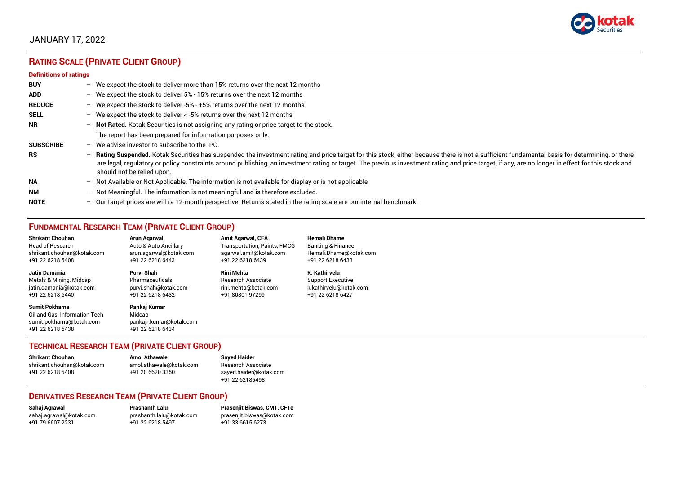

### JANUARY 17, 2022

## **RATING SCALE (PRIVATE CLIENT GROUP)**

#### **Definitions of ratings**

| <b>BUY</b>       | - We expect the stock to deliver more than 15% returns over the next 12 months                                                                                                                                                                                                                                                                                                                                                     |
|------------------|------------------------------------------------------------------------------------------------------------------------------------------------------------------------------------------------------------------------------------------------------------------------------------------------------------------------------------------------------------------------------------------------------------------------------------|
| <b>ADD</b>       | - We expect the stock to deliver 5% - 15% returns over the next 12 months                                                                                                                                                                                                                                                                                                                                                          |
| <b>REDUCE</b>    | - We expect the stock to deliver -5% - +5% returns over the next 12 months                                                                                                                                                                                                                                                                                                                                                         |
| <b>SELL</b>      | - We expect the stock to deliver $\lt$ -5% returns over the next 12 months                                                                                                                                                                                                                                                                                                                                                         |
| NR.              | - Not Rated. Kotak Securities is not assigning any rating or price target to the stock.                                                                                                                                                                                                                                                                                                                                            |
|                  | The report has been prepared for information purposes only.                                                                                                                                                                                                                                                                                                                                                                        |
| <b>SUBSCRIBE</b> | $-$ We advise investor to subscribe to the IPO.                                                                                                                                                                                                                                                                                                                                                                                    |
| <b>RS</b>        | - Rating Suspended. Kotak Securities has suspended the investment rating and price target for this stock, either because there is not a sufficient fundamental basis for determining, or there<br>are legal, regulatory or policy constraints around publishing, an investment rating or target. The previous investment rating and price target, if any, are no longer in effect for this stock and<br>should not be relied upon. |
| <b>NA</b>        | - Not Available or Not Applicable. The information is not available for display or is not applicable                                                                                                                                                                                                                                                                                                                               |
| <b>NM</b>        | - Not Meaningful. The information is not meaningful and is therefore excluded.                                                                                                                                                                                                                                                                                                                                                     |
| <b>NOTE</b>      | $-$ Our target prices are with a 12-month perspective. Returns stated in the rating scale are our internal benchmark.                                                                                                                                                                                                                                                                                                              |

### **FUNDAMENTAL RESEARCH TEAM (PRIVATE CLIENT GROUP)**

| <b>Shrikant Chouhan</b>                                                                                | Arun Agarwal                                                          | <b>Amit Agarwal, CFA</b>            | <b>Hemali Dhame</b>      |
|--------------------------------------------------------------------------------------------------------|-----------------------------------------------------------------------|-------------------------------------|--------------------------|
| Head of Research                                                                                       | Auto & Auto Ancillary                                                 | <b>Transportation, Paints, FMCG</b> | Banking & Finance        |
| shrikant.chouhan@kotak.com                                                                             | arun.agarwal@kotak.com                                                | agarwal.amit@kotak.com              | Hemali.Dhame@kotak.com   |
| +91 22 6218 5408                                                                                       | +91 22 6218 6443                                                      | +91 22 6218 6439                    | +91 22 6218 6433         |
| Jatin Damania                                                                                          | Purvi Shah                                                            | <b>Rini Mehta</b>                   | K. Kathirvelu            |
| Metals & Mining, Midcap                                                                                | Pharmaceuticals                                                       | <b>Research Associate</b>           | <b>Support Executive</b> |
| jatin.damania@kotak.com                                                                                | purvi.shah@kotak.com                                                  | rini.mehta@kotak.com                | k.kathirvelu@kotak.com   |
| +91 22 6218 6440                                                                                       | +91 22 6218 6432                                                      | +91 80801 97299                     | +91 22 6218 6427         |
| <b>Sumit Pokharna</b><br>Oil and Gas, Information Tech<br>sumit.pokharna@kotak.com<br>+91 22 6218 6438 | Pankaj Kumar<br>Midcap<br>pankajr.kumar@kotak.com<br>+91 22 6218 6434 |                                     |                          |

### **TECHNICAL RESEARCH TEAM (PRIVATE CLIENT GROUP)**

| Shrikant Chouhan           | <b>Amol Athawale</b>    | <b>Sayed Haider</b>    |
|----------------------------|-------------------------|------------------------|
| shrikant.chouhan@kotak.com | amol.athawale@kotak.com | Research Associate     |
| +91 22 6218 5408           | +91 20 6620 3350        | sayed.haider@kotak.com |
|                            |                         | +91 22 62185498        |

#### **DERIVATIVES RESEARCH TEAM (PRIVATE CLIENT GROUP)**

+91 22 6218 5497 +91 33 6615 6273

**Sahaj Agrawal Prashanth Lalu Prasenjit Biswas, CMT, CFTe** [sahaj.agrawal@kotak.com](mailto:sahaj.agrawal@kotak.com) [prashanth.lalu@kotak.com](mailto:prashanth.lalu@kotak.com) [prasenjit.biswas@kotak.com](mailto:prasenjit.biswas@kotak.com)